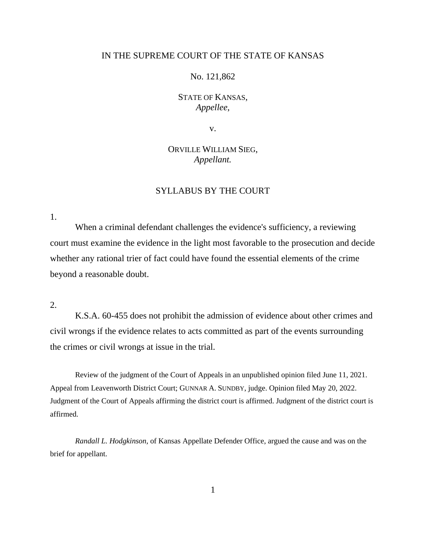## IN THE SUPREME COURT OF THE STATE OF KANSAS

No. 121,862

STATE OF KANSAS, *Appellee*,

v.

ORVILLE WILLIAM SIEG, *Appellant.*

# SYLLABUS BY THE COURT

1.

When a criminal defendant challenges the evidence's sufficiency, a reviewing court must examine the evidence in the light most favorable to the prosecution and decide whether any rational trier of fact could have found the essential elements of the crime beyond a reasonable doubt.

2.

K.S.A. 60-455 does not prohibit the admission of evidence about other crimes and civil wrongs if the evidence relates to acts committed as part of the events surrounding the crimes or civil wrongs at issue in the trial.

Review of the judgment of the Court of Appeals in an unpublished opinion filed June 11, 2021. Appeal from Leavenworth District Court; GUNNAR A. SUNDBY, judge. Opinion filed May 20, 2022. Judgment of the Court of Appeals affirming the district court is affirmed. Judgment of the district court is affirmed.

*Randall L. Hodgkinson*, of Kansas Appellate Defender Office, argued the cause and was on the brief for appellant.

1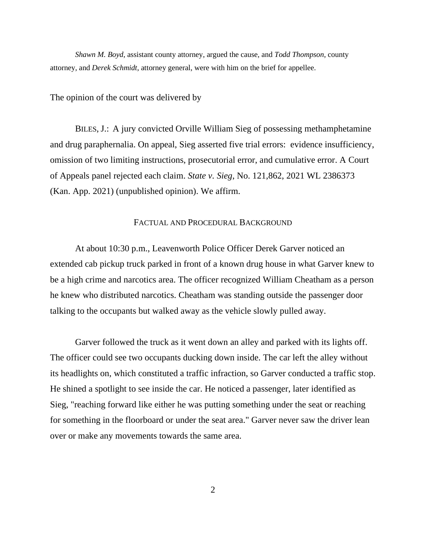*Shawn M. Boyd*, assistant county attorney, argued the cause, and *Todd Thompson*, county attorney, and *Derek Schmidt*, attorney general, were with him on the brief for appellee.

The opinion of the court was delivered by

BILES, J.: A jury convicted Orville William Sieg of possessing methamphetamine and drug paraphernalia. On appeal, Sieg asserted five trial errors: evidence insufficiency, omission of two limiting instructions, prosecutorial error, and cumulative error. A Court of Appeals panel rejected each claim. *State v. Sieg*, No. 121,862, 2021 WL 2386373 (Kan. App. 2021) (unpublished opinion). We affirm.

## FACTUAL AND PROCEDURAL BACKGROUND

At about 10:30 p.m., Leavenworth Police Officer Derek Garver noticed an extended cab pickup truck parked in front of a known drug house in what Garver knew to be a high crime and narcotics area. The officer recognized William Cheatham as a person he knew who distributed narcotics. Cheatham was standing outside the passenger door talking to the occupants but walked away as the vehicle slowly pulled away.

Garver followed the truck as it went down an alley and parked with its lights off. The officer could see two occupants ducking down inside. The car left the alley without its headlights on, which constituted a traffic infraction, so Garver conducted a traffic stop. He shined a spotlight to see inside the car. He noticed a passenger, later identified as Sieg, "reaching forward like either he was putting something under the seat or reaching for something in the floorboard or under the seat area." Garver never saw the driver lean over or make any movements towards the same area.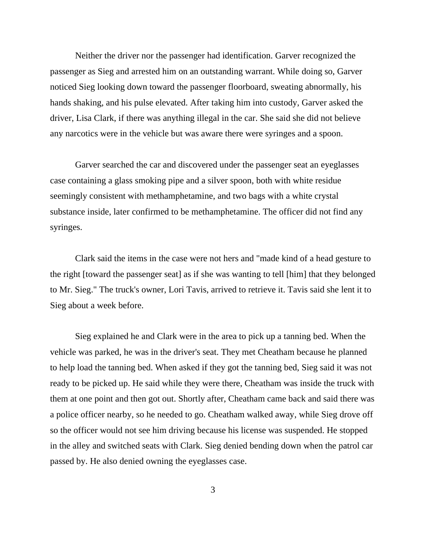Neither the driver nor the passenger had identification. Garver recognized the passenger as Sieg and arrested him on an outstanding warrant. While doing so, Garver noticed Sieg looking down toward the passenger floorboard, sweating abnormally, his hands shaking, and his pulse elevated. After taking him into custody, Garver asked the driver, Lisa Clark, if there was anything illegal in the car. She said she did not believe any narcotics were in the vehicle but was aware there were syringes and a spoon.

Garver searched the car and discovered under the passenger seat an eyeglasses case containing a glass smoking pipe and a silver spoon, both with white residue seemingly consistent with methamphetamine, and two bags with a white crystal substance inside, later confirmed to be methamphetamine. The officer did not find any syringes.

Clark said the items in the case were not hers and "made kind of a head gesture to the right [toward the passenger seat] as if she was wanting to tell [him] that they belonged to Mr. Sieg." The truck's owner, Lori Tavis, arrived to retrieve it. Tavis said she lent it to Sieg about a week before.

Sieg explained he and Clark were in the area to pick up a tanning bed. When the vehicle was parked, he was in the driver's seat. They met Cheatham because he planned to help load the tanning bed. When asked if they got the tanning bed, Sieg said it was not ready to be picked up. He said while they were there, Cheatham was inside the truck with them at one point and then got out. Shortly after, Cheatham came back and said there was a police officer nearby, so he needed to go. Cheatham walked away, while Sieg drove off so the officer would not see him driving because his license was suspended. He stopped in the alley and switched seats with Clark. Sieg denied bending down when the patrol car passed by. He also denied owning the eyeglasses case.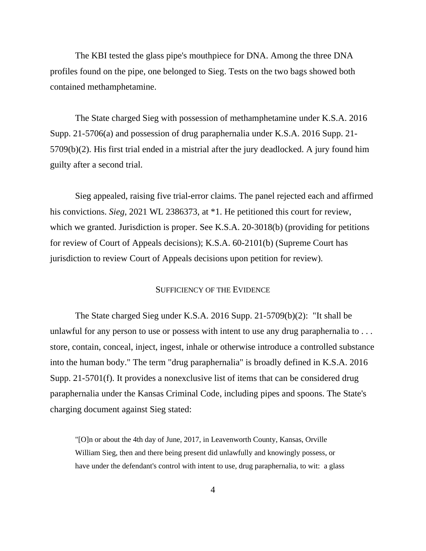The KBI tested the glass pipe's mouthpiece for DNA. Among the three DNA profiles found on the pipe, one belonged to Sieg. Tests on the two bags showed both contained methamphetamine.

The State charged Sieg with possession of methamphetamine under K.S.A. 2016 Supp. 21-5706(a) and possession of drug paraphernalia under K.S.A. 2016 Supp. 21- 5709(b)(2). His first trial ended in a mistrial after the jury deadlocked. A jury found him guilty after a second trial.

Sieg appealed, raising five trial-error claims. The panel rejected each and affirmed his convictions. *Sieg*, 2021 WL 2386373, at \*1. He petitioned this court for review, which we granted. Jurisdiction is proper. See K.S.A. 20-3018(b) (providing for petitions for review of Court of Appeals decisions); K.S.A. 60-2101(b) (Supreme Court has jurisdiction to review Court of Appeals decisions upon petition for review).

### SUFFICIENCY OF THE EVIDENCE

The State charged Sieg under K.S.A. 2016 Supp. 21-5709(b)(2): "It shall be unlawful for any person to use or possess with intent to use any drug paraphernalia to ... store, contain, conceal, inject, ingest, inhale or otherwise introduce a controlled substance into the human body." The term "drug paraphernalia" is broadly defined in K.S.A. 2016 Supp. 21-5701(f). It provides a nonexclusive list of items that can be considered drug paraphernalia under the Kansas Criminal Code, including pipes and spoons. The State's charging document against Sieg stated:

"[O]n or about the 4th day of June, 2017, in Leavenworth County, Kansas, Orville William Sieg, then and there being present did unlawfully and knowingly possess, or have under the defendant's control with intent to use, drug paraphernalia, to wit: a glass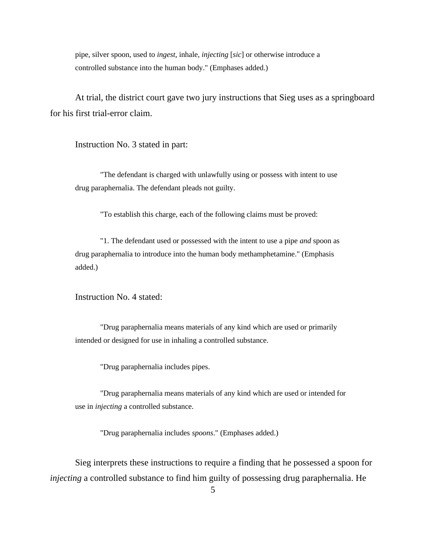pipe, silver spoon, used to *ingest*, inhale, *injecting* [*sic*] or otherwise introduce a controlled substance into the human body." (Emphases added.)

At trial, the district court gave two jury instructions that Sieg uses as a springboard for his first trial-error claim.

Instruction No. 3 stated in part:

"The defendant is charged with unlawfully using or possess with intent to use drug paraphernalia. The defendant pleads not guilty.

"To establish this charge, each of the following claims must be proved:

"1. The defendant used or possessed with the intent to use a pipe *and* spoon as drug paraphernalia to introduce into the human body methamphetamine." (Emphasis added.)

Instruction No. 4 stated:

"Drug paraphernalia means materials of any kind which are used or primarily intended or designed for use in inhaling a controlled substance.

"Drug paraphernalia includes pipes.

"Drug paraphernalia means materials of any kind which are used or intended for use in *injecting* a controlled substance.

"Drug paraphernalia includes *spoons*." (Emphases added.)

Sieg interprets these instructions to require a finding that he possessed a spoon for *injecting* a controlled substance to find him guilty of possessing drug paraphernalia. He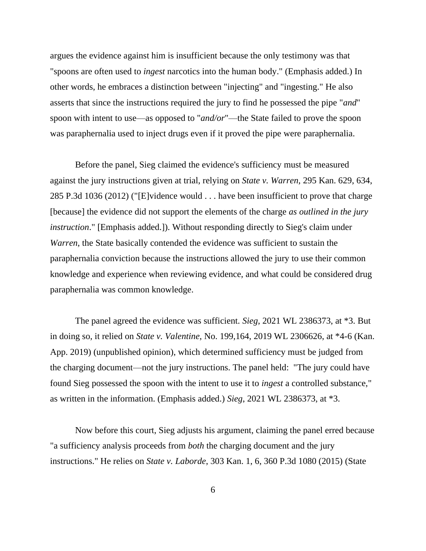argues the evidence against him is insufficient because the only testimony was that "spoons are often used to *ingest* narcotics into the human body." (Emphasis added.) In other words, he embraces a distinction between "injecting" and "ingesting." He also asserts that since the instructions required the jury to find he possessed the pipe "*and*" spoon with intent to use—as opposed to "*and/or*"—the State failed to prove the spoon was paraphernalia used to inject drugs even if it proved the pipe were paraphernalia.

Before the panel, Sieg claimed the evidence's sufficiency must be measured against the jury instructions given at trial, relying on *State v. Warren*, 295 Kan. 629, 634, 285 P.3d 1036 (2012) ("[E]vidence would . . . have been insufficient to prove that charge [because] the evidence did not support the elements of the charge *as outlined in the jury instruction*." [Emphasis added.]). Without responding directly to Sieg's claim under *Warren*, the State basically contended the evidence was sufficient to sustain the paraphernalia conviction because the instructions allowed the jury to use their common knowledge and experience when reviewing evidence, and what could be considered drug paraphernalia was common knowledge.

The panel agreed the evidence was sufficient. *Sieg*, 2021 WL 2386373, at \*3. But in doing so, it relied on *State v. Valentine*, No. 199,164, 2019 WL 2306626, at \*4-6 (Kan. App. 2019) (unpublished opinion), which determined sufficiency must be judged from the charging document—not the jury instructions. The panel held: "The jury could have found Sieg possessed the spoon with the intent to use it to *ingest* a controlled substance," as written in the information. (Emphasis added.) *Sieg*, 2021 WL 2386373, at \*3.

Now before this court, Sieg adjusts his argument, claiming the panel erred because "a sufficiency analysis proceeds from *both* the charging document and the jury instructions." He relies on *State v. Laborde*, 303 Kan. 1, 6, 360 P.3d 1080 (2015) (State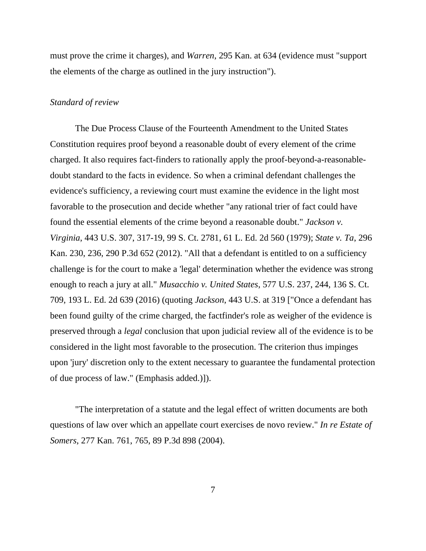must prove the crime it charges), and *Warren*, 295 Kan. at 634 (evidence must "support the elements of the charge as outlined in the jury instruction").

#### *Standard of review*

The Due Process Clause of the Fourteenth Amendment to the United States Constitution requires proof beyond a reasonable doubt of every element of the crime charged. It also requires fact-finders to rationally apply the proof-beyond-a-reasonabledoubt standard to the facts in evidence. So when a criminal defendant challenges the evidence's sufficiency, a reviewing court must examine the evidence in the light most favorable to the prosecution and decide whether "any rational trier of fact could have found the essential elements of the crime beyond a reasonable doubt." *Jackson v. Virginia*, 443 U.S. 307, 317-19, 99 S. Ct. 2781, 61 L. Ed. 2d 560 (1979); *State v. Ta*, 296 Kan. 230, 236, 290 P.3d 652 (2012). "All that a defendant is entitled to on a sufficiency challenge is for the court to make a 'legal' determination whether the evidence was strong enough to reach a jury at all." *Musacchio v. United States*, 577 U.S. 237, 244, 136 S. Ct. 709, 193 L. Ed. 2d 639 (2016) (quoting *Jackson*, 443 U.S. at 319 ["Once a defendant has been found guilty of the crime charged, the factfinder's role as weigher of the evidence is preserved through a *legal* conclusion that upon judicial review all of the evidence is to be considered in the light most favorable to the prosecution. The criterion thus impinges upon 'jury' discretion only to the extent necessary to guarantee the fundamental protection of due process of law." (Emphasis added.)]).

"The interpretation of a statute and the legal effect of written documents are both questions of law over which an appellate court exercises de novo review." *In re Estate of Somers*, 277 Kan. 761, 765, 89 P.3d 898 (2004).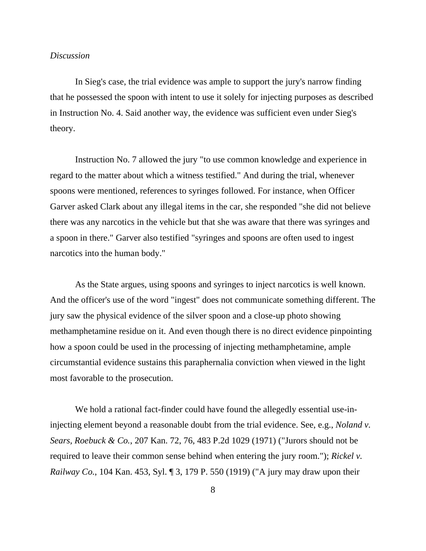## *Discussion*

In Sieg's case, the trial evidence was ample to support the jury's narrow finding that he possessed the spoon with intent to use it solely for injecting purposes as described in Instruction No. 4. Said another way, the evidence was sufficient even under Sieg's theory.

Instruction No. 7 allowed the jury "to use common knowledge and experience in regard to the matter about which a witness testified." And during the trial, whenever spoons were mentioned, references to syringes followed. For instance, when Officer Garver asked Clark about any illegal items in the car, she responded "she did not believe there was any narcotics in the vehicle but that she was aware that there was syringes and a spoon in there." Garver also testified "syringes and spoons are often used to ingest narcotics into the human body."

As the State argues, using spoons and syringes to inject narcotics is well known. And the officer's use of the word "ingest" does not communicate something different. The jury saw the physical evidence of the silver spoon and a close-up photo showing methamphetamine residue on it. And even though there is no direct evidence pinpointing how a spoon could be used in the processing of injecting methamphetamine, ample circumstantial evidence sustains this paraphernalia conviction when viewed in the light most favorable to the prosecution.

We hold a rational fact-finder could have found the allegedly essential use-ininjecting element beyond a reasonable doubt from the trial evidence. See, e.g., *Noland v. Sears, Roebuck & Co.*, 207 Kan. 72, 76, 483 P.2d 1029 (1971) ("Jurors should not be required to leave their common sense behind when entering the jury room."); *Rickel v. Railway Co.*, 104 Kan. 453, Syl. ¶ 3, 179 P. 550 (1919) ("A jury may draw upon their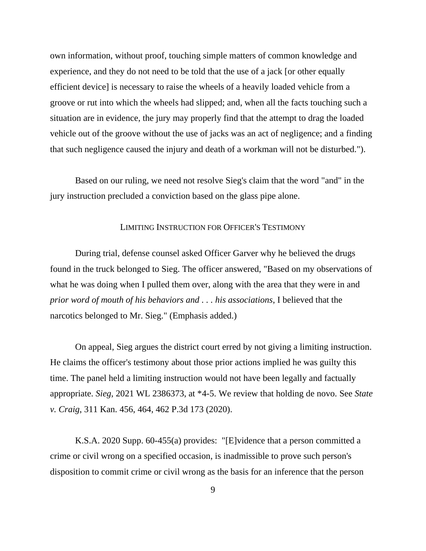own information, without proof, touching simple matters of common knowledge and experience, and they do not need to be told that the use of a jack [or other equally efficient device] is necessary to raise the wheels of a heavily loaded vehicle from a groove or rut into which the wheels had slipped; and, when all the facts touching such a situation are in evidence, the jury may properly find that the attempt to drag the loaded vehicle out of the groove without the use of jacks was an act of negligence; and a finding that such negligence caused the injury and death of a workman will not be disturbed.").

Based on our ruling, we need not resolve Sieg's claim that the word "and" in the jury instruction precluded a conviction based on the glass pipe alone.

## LIMITING INSTRUCTION FOR OFFICER'S TESTIMONY

During trial, defense counsel asked Officer Garver why he believed the drugs found in the truck belonged to Sieg. The officer answered, "Based on my observations of what he was doing when I pulled them over, along with the area that they were in and *prior word of mouth of his behaviors and . . . his associations*, I believed that the narcotics belonged to Mr. Sieg." (Emphasis added.)

On appeal, Sieg argues the district court erred by not giving a limiting instruction. He claims the officer's testimony about those prior actions implied he was guilty this time. The panel held a limiting instruction would not have been legally and factually appropriate. *Sieg*, 2021 WL 2386373, at \*4-5. We review that holding de novo. See *State v. Craig*, 311 Kan. 456, 464, 462 P.3d 173 (2020).

K.S.A. 2020 Supp. 60-455(a) provides: "[E]vidence that a person committed a crime or civil wrong on a specified occasion, is inadmissible to prove such person's disposition to commit crime or civil wrong as the basis for an inference that the person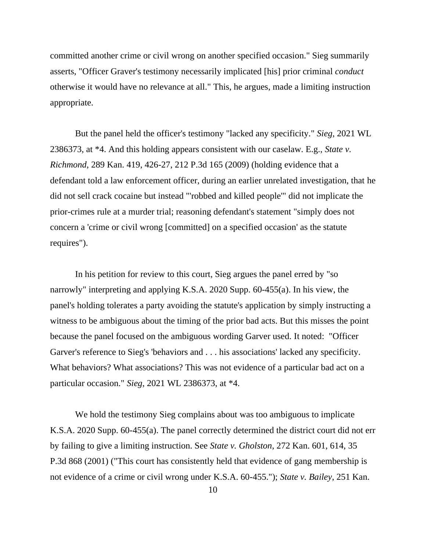committed another crime or civil wrong on another specified occasion." Sieg summarily asserts, "Officer Graver's testimony necessarily implicated [his] prior criminal *conduct* otherwise it would have no relevance at all." This, he argues, made a limiting instruction appropriate.

But the panel held the officer's testimony "lacked any specificity." *Sieg*, 2021 WL 2386373, at \*4. And this holding appears consistent with our caselaw. E.g., *State v. Richmond*, 289 Kan. 419, 426-27, 212 P.3d 165 (2009) (holding evidence that a defendant told a law enforcement officer, during an earlier unrelated investigation, that he did not sell crack cocaine but instead "'robbed and killed people'" did not implicate the prior-crimes rule at a murder trial; reasoning defendant's statement "simply does not concern a 'crime or civil wrong [committed] on a specified occasion' as the statute requires").

In his petition for review to this court, Sieg argues the panel erred by "so narrowly" interpreting and applying K.S.A. 2020 Supp. 60-455(a). In his view, the panel's holding tolerates a party avoiding the statute's application by simply instructing a witness to be ambiguous about the timing of the prior bad acts. But this misses the point because the panel focused on the ambiguous wording Garver used. It noted: "Officer Garver's reference to Sieg's 'behaviors and . . . his associations' lacked any specificity. What behaviors? What associations? This was not evidence of a particular bad act on a particular occasion." *Sieg*, 2021 WL 2386373, at \*4.

We hold the testimony Sieg complains about was too ambiguous to implicate K.S.A. 2020 Supp. 60-455(a). The panel correctly determined the district court did not err by failing to give a limiting instruction. See *State v. Gholston*, 272 Kan. 601, 614, 35 P.3d 868 (2001) ("This court has consistently held that evidence of gang membership is not evidence of a crime or civil wrong under K.S.A. 60-455."); *State v. Bailey*, 251 Kan.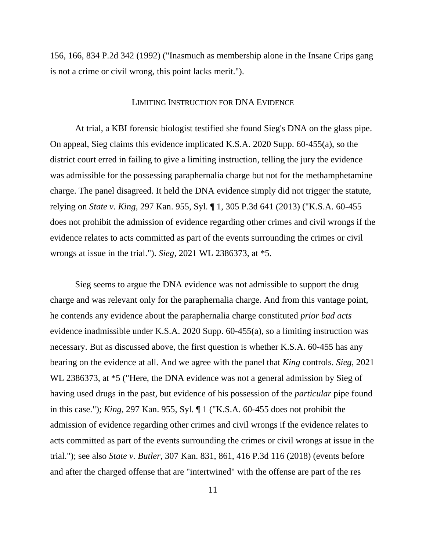156, 166, 834 P.2d 342 (1992) ("Inasmuch as membership alone in the Insane Crips gang is not a crime or civil wrong, this point lacks merit.").

#### LIMITING INSTRUCTION FOR DNA EVIDENCE

At trial, a KBI forensic biologist testified she found Sieg's DNA on the glass pipe. On appeal, Sieg claims this evidence implicated K.S.A. 2020 Supp. 60-455(a), so the district court erred in failing to give a limiting instruction, telling the jury the evidence was admissible for the possessing paraphernalia charge but not for the methamphetamine charge. The panel disagreed. It held the DNA evidence simply did not trigger the statute, relying on *State v. King*, 297 Kan. 955, Syl. ¶ 1, 305 P.3d 641 (2013) ("K.S.A. 60-455 does not prohibit the admission of evidence regarding other crimes and civil wrongs if the evidence relates to acts committed as part of the events surrounding the crimes or civil wrongs at issue in the trial."). *Sieg*, 2021 WL 2386373, at \*5.

Sieg seems to argue the DNA evidence was not admissible to support the drug charge and was relevant only for the paraphernalia charge. And from this vantage point, he contends any evidence about the paraphernalia charge constituted *prior bad acts* evidence inadmissible under K.S.A. 2020 Supp. 60-455(a), so a limiting instruction was necessary. But as discussed above, the first question is whether K.S.A. 60-455 has any bearing on the evidence at all. And we agree with the panel that *King* controls. *Sieg*, 2021 WL 2386373, at \*5 ("Here, the DNA evidence was not a general admission by Sieg of having used drugs in the past, but evidence of his possession of the *particular* pipe found in this case."); *King*, 297 Kan. 955, Syl. ¶ 1 ("K.S.A. 60-455 does not prohibit the admission of evidence regarding other crimes and civil wrongs if the evidence relates to acts committed as part of the events surrounding the crimes or civil wrongs at issue in the trial."); see also *State v. Butler*, 307 Kan. 831, 861, 416 P.3d 116 (2018) (events before and after the charged offense that are "intertwined" with the offense are part of the res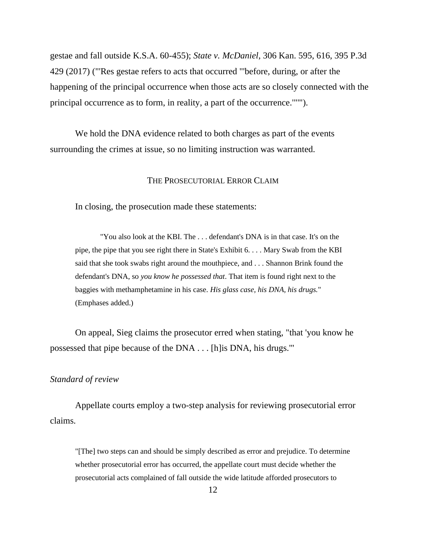gestae and fall outside K.S.A. 60-455); *State v. McDaniel*, 306 Kan. 595, 616, 395 P.3d 429 (2017) ("'Res gestae refers to acts that occurred "'before, during, or after the happening of the principal occurrence when those acts are so closely connected with the principal occurrence as to form, in reality, a part of the occurrence.'"'").

We hold the DNA evidence related to both charges as part of the events surrounding the crimes at issue, so no limiting instruction was warranted.

## THE PROSECUTORIAL ERROR CLAIM

In closing, the prosecution made these statements:

"You also look at the KBI. The . . . defendant's DNA is in that case. It's on the pipe, the pipe that you see right there in State's Exhibit 6. . . . Mary Swab from the KBI said that she took swabs right around the mouthpiece, and . . . Shannon Brink found the defendant's DNA, so *you know he possessed that*. That item is found right next to the baggies with methamphetamine in his case. *His glass case, his DNA, his drugs.*" (Emphases added.)

On appeal, Sieg claims the prosecutor erred when stating, "that 'you know he possessed that pipe because of the DNA . . . [h]is DNA, his drugs.'"

## *Standard of review*

Appellate courts employ a two-step analysis for reviewing prosecutorial error claims.

"[The] two steps can and should be simply described as error and prejudice. To determine whether prosecutorial error has occurred, the appellate court must decide whether the prosecutorial acts complained of fall outside the wide latitude afforded prosecutors to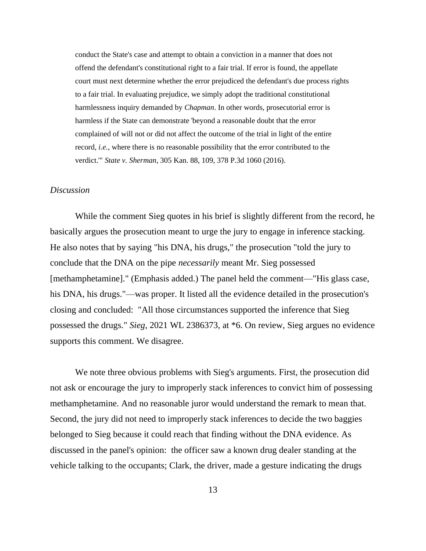conduct the State's case and attempt to obtain a conviction in a manner that does not offend the defendant's constitutional right to a fair trial. If error is found, the appellate court must next determine whether the error prejudiced the defendant's due process rights to a fair trial. In evaluating prejudice, we simply adopt the traditional constitutional harmlessness inquiry demanded by *Chapman*. In other words, prosecutorial error is harmless if the State can demonstrate 'beyond a reasonable doubt that the error complained of will not or did not affect the outcome of the trial in light of the entire record, *i.e.*, where there is no reasonable possibility that the error contributed to the verdict.'" *State v. Sherman*, 305 Kan. 88, 109, 378 P.3d 1060 (2016).

## *Discussion*

While the comment Sieg quotes in his brief is slightly different from the record, he basically argues the prosecution meant to urge the jury to engage in inference stacking. He also notes that by saying "his DNA, his drugs," the prosecution "told the jury to conclude that the DNA on the pipe *necessarily* meant Mr. Sieg possessed [methamphetamine]." (Emphasis added.) The panel held the comment—"His glass case, his DNA, his drugs."—was proper. It listed all the evidence detailed in the prosecution's closing and concluded: "All those circumstances supported the inference that Sieg possessed the drugs." *Sieg*, 2021 WL 2386373, at \*6. On review, Sieg argues no evidence supports this comment. We disagree.

We note three obvious problems with Sieg's arguments. First, the prosecution did not ask or encourage the jury to improperly stack inferences to convict him of possessing methamphetamine. And no reasonable juror would understand the remark to mean that. Second, the jury did not need to improperly stack inferences to decide the two baggies belonged to Sieg because it could reach that finding without the DNA evidence. As discussed in the panel's opinion: the officer saw a known drug dealer standing at the vehicle talking to the occupants; Clark, the driver, made a gesture indicating the drugs